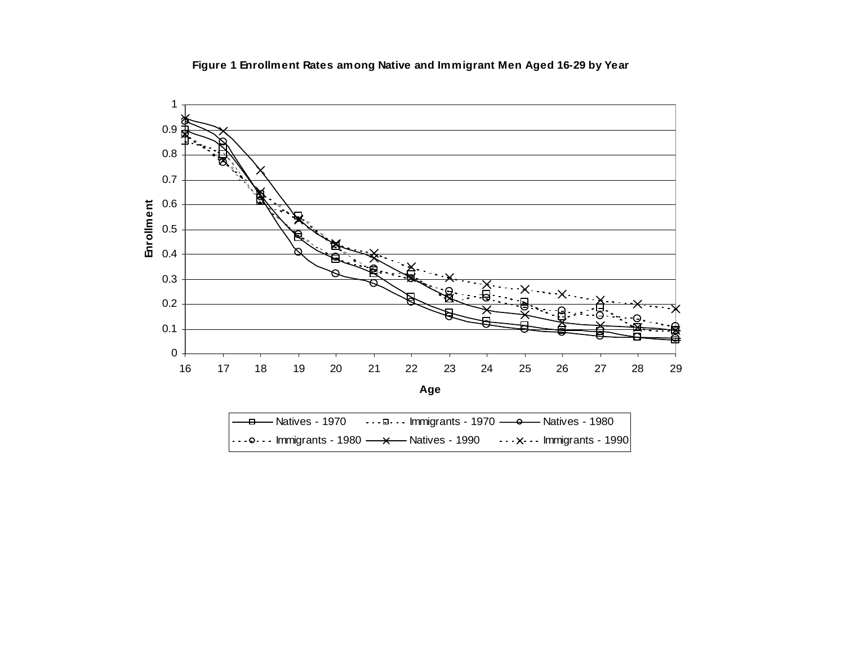



| — <del>□ —</del> Natives - 1970       - - - □ - - - Immigrants - 1970 — <del>○ —</del> Natives - 1980 |                                                                                                                                                                                                           |
|-------------------------------------------------------------------------------------------------------|-----------------------------------------------------------------------------------------------------------------------------------------------------------------------------------------------------------|
|                                                                                                       | $\vert \cdot \cdot \cdot \circ \cdot \cdot \cdot \vert$ mmigrants - 1980 $\longrightarrow \longrightarrow$ Natives - 1990 $\longrightarrow \rightarrow \longrightarrow \longrightarrow$ Immigrants - 1990 |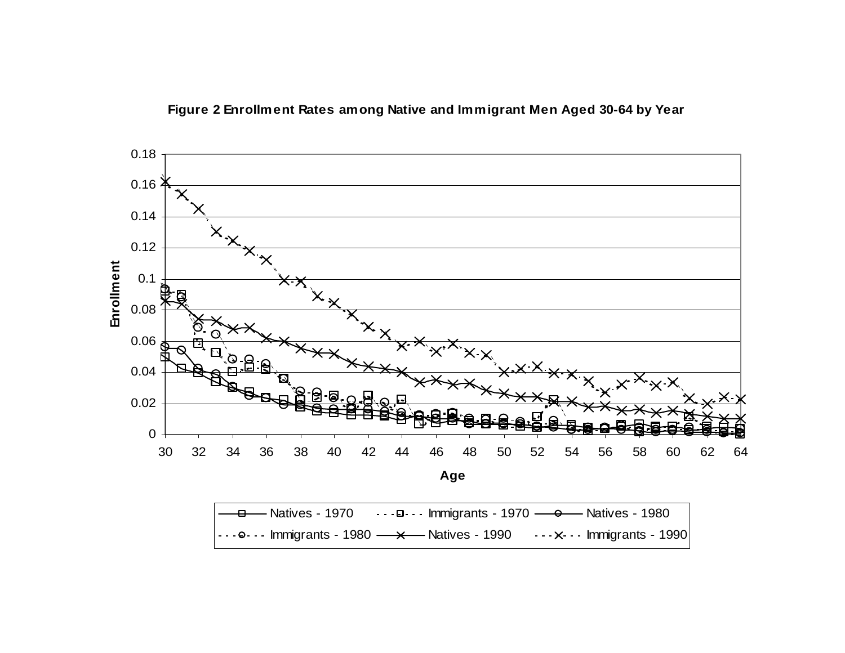Figure 2 Enrollment Rates among Native and Immigrant Men Aged 30-64 by Year



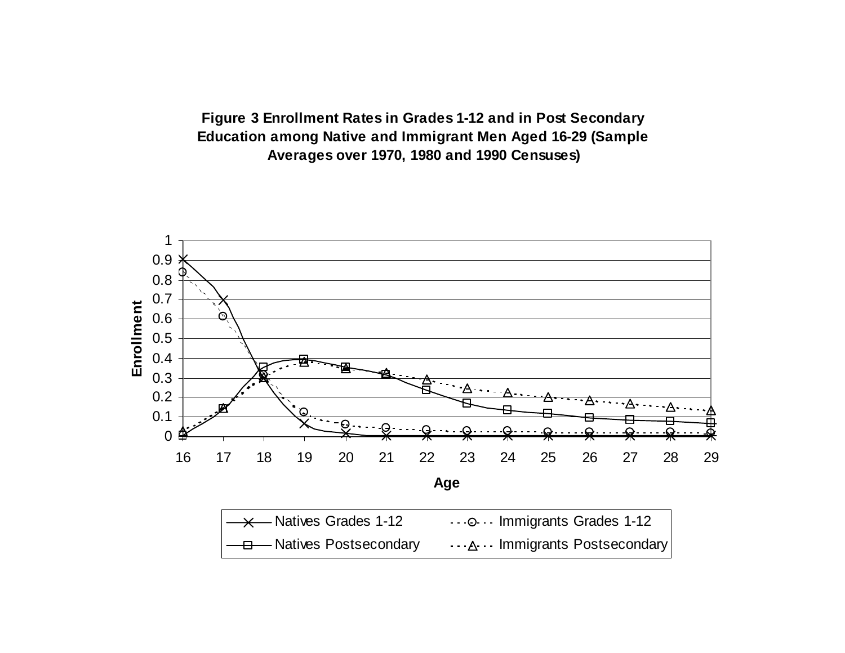**Figure 3 Enrollment Rates in Grades 1-12 and in Post Secondary Education among Native and Immigrant Men Aged 16-29 (Sample Averages over 1970, 1980 and 1990 Censuses)**

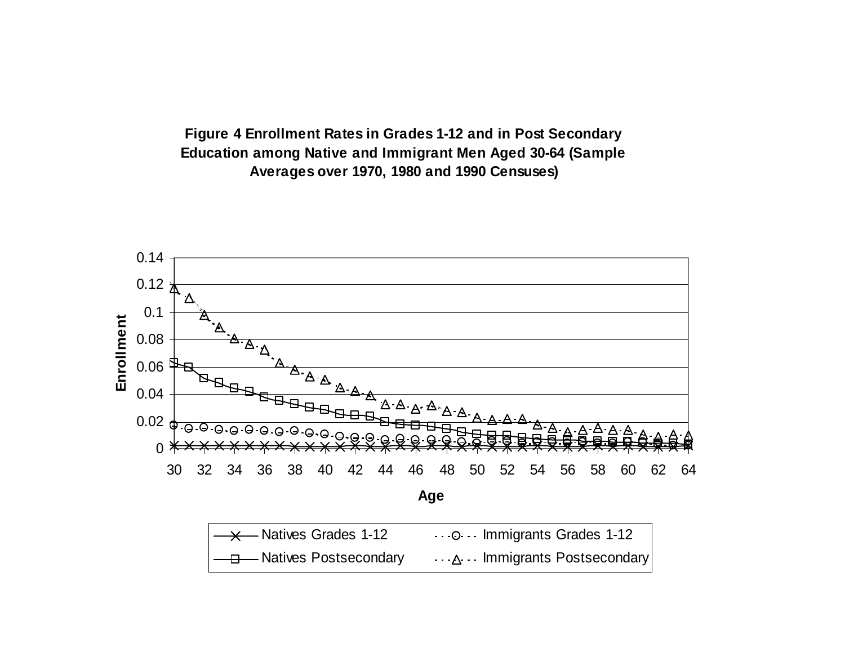**Figure 4 Enrollment Rates in Grades 1-12 and in Post Secondary Education among Native and Immigrant Men Aged 30-64 (Sample Averages over 1970, 1980 and 1990 Censuses)**

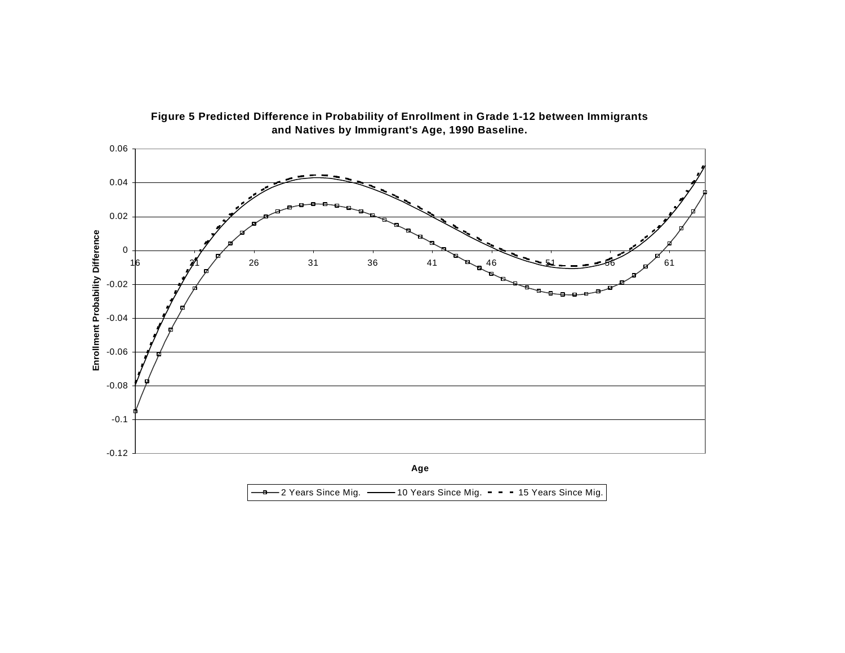

Figure 5 Predicted Difference in Probability of Enrollment in Grade 1-12 between Immigrants **and Natives by Immigrant's Age, 1990 Baseline.**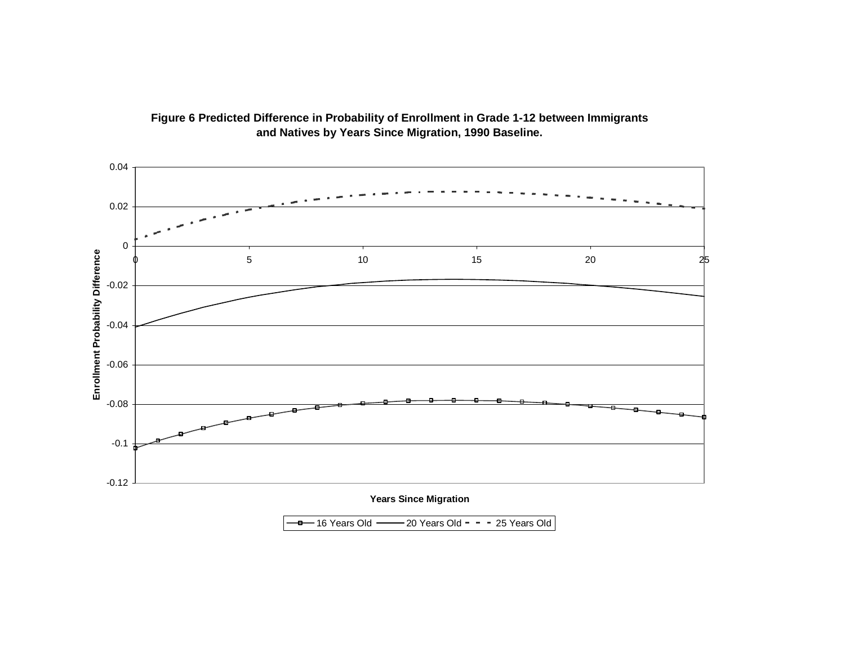

## Figure 6 Predicted Difference in Probability of Enrollment in Grade 1-12 between Immigrants **and Natives by Years Since Migration, 1990 Baseline.**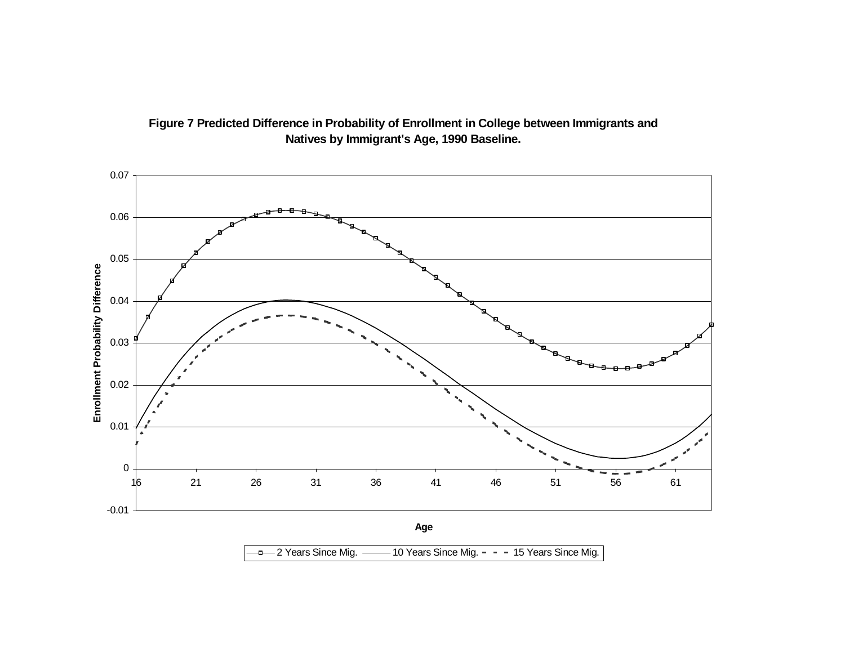

## Figure 7 Predicted Difference in Probability of Enrollment in College between Immigrants and **Natives by Immigrant's Age, 1990 Baseline.**

<sup>-B</sup> 2 Years Since Mig.  $-$  10 Years Since Mig.  $-$  - 15 Years Since Mig.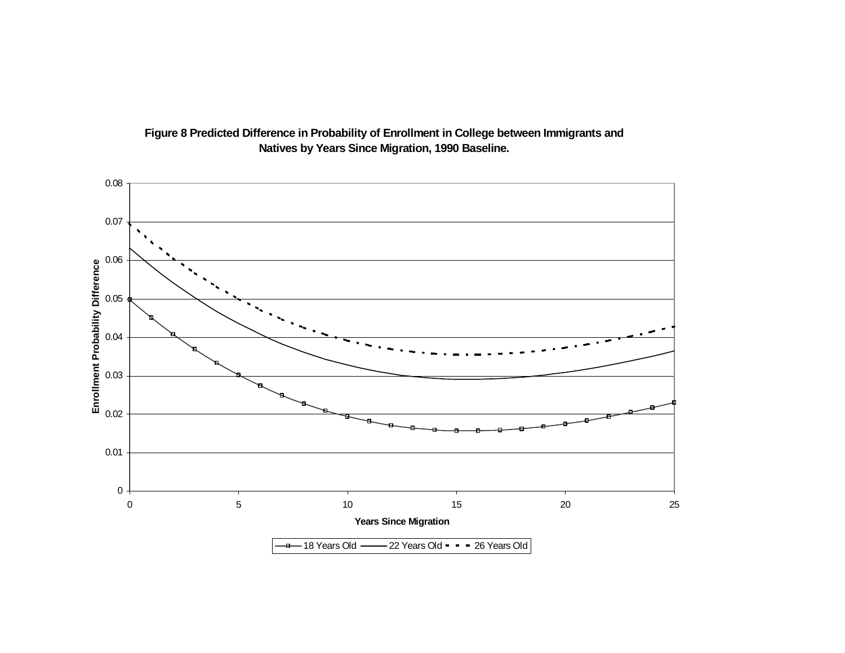

## Figure 8 Predicted Difference in Probability of Enrollment in College between Immigrants and **Natives by Years Since Migration, 1990 Baseline.**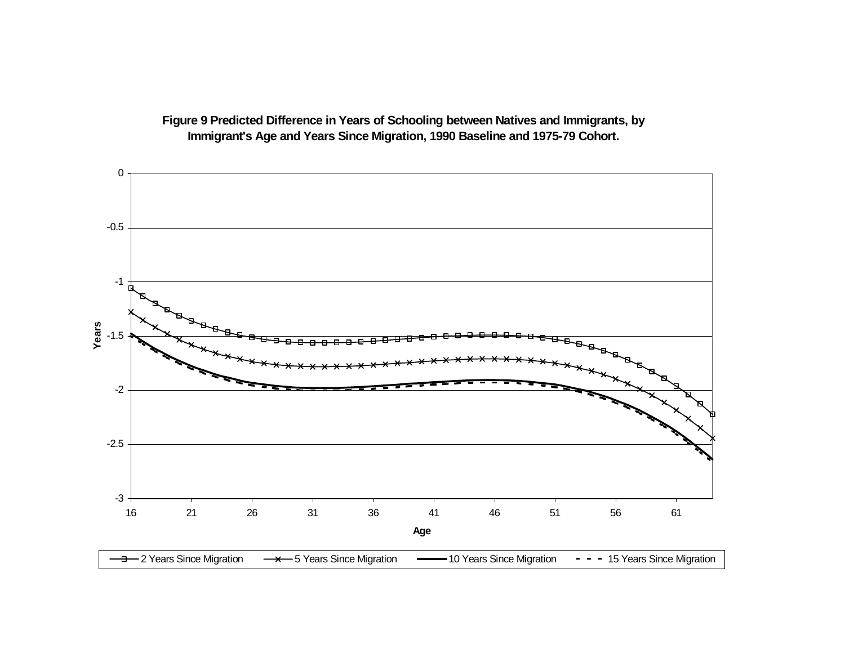

Figure 9 Predicted Difference in Years of Schooling between Natives and Immigrants, by **Immigrant's Age and Years Since Migration, 1990 Baseline and 1975-79 Cohort.**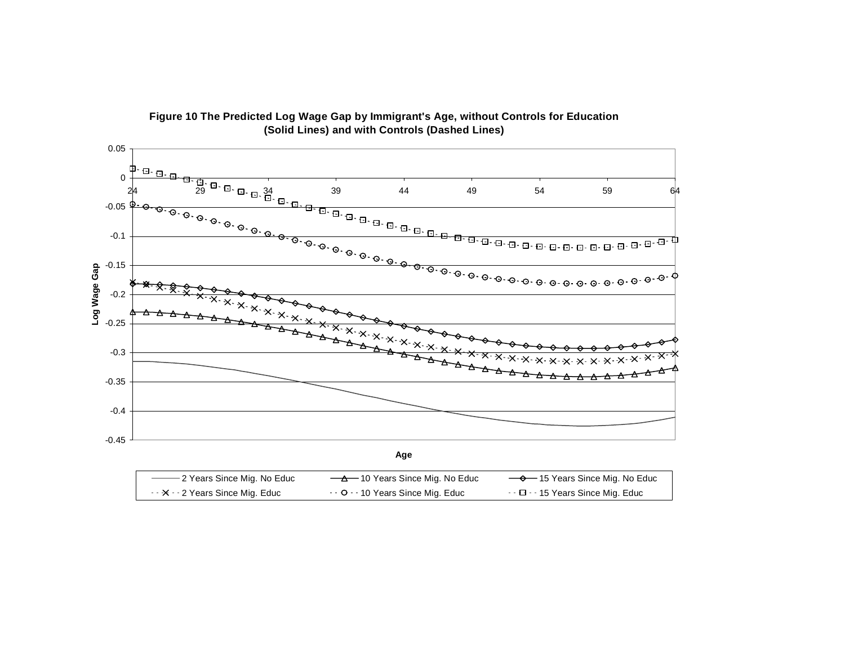